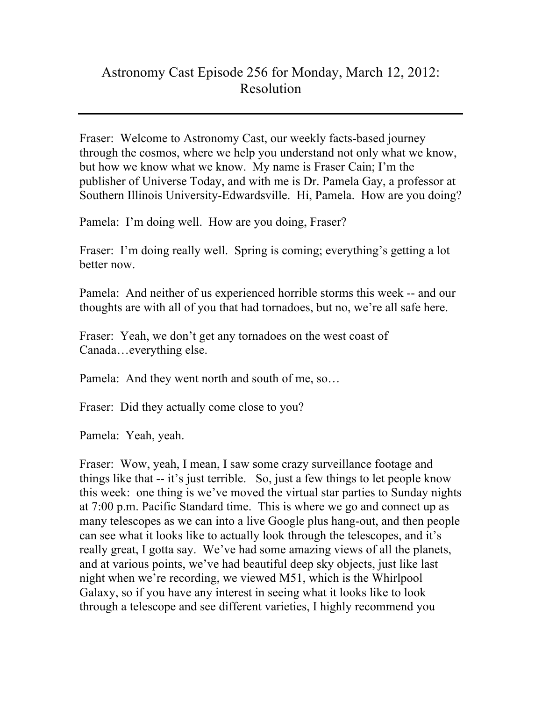## Astronomy Cast Episode 256 for Monday, March 12, 2012: Resolution

Fraser: Welcome to Astronomy Cast, our weekly facts-based journey through the cosmos, where we help you understand not only what we know, but how we know what we know. My name is Fraser Cain; I'm the publisher of Universe Today, and with me is Dr. Pamela Gay, a professor at Southern Illinois University-Edwardsville. Hi, Pamela. How are you doing?

Pamela: I'm doing well. How are you doing, Fraser?

Fraser: I'm doing really well. Spring is coming; everything's getting a lot better now.

Pamela: And neither of us experienced horrible storms this week -- and our thoughts are with all of you that had tornadoes, but no, we're all safe here.

Fraser: Yeah, we don't get any tornadoes on the west coast of Canada…everything else.

Pamela: And they went north and south of me, so…

Fraser: Did they actually come close to you?

Pamela: Yeah, yeah.

Fraser: Wow, yeah, I mean, I saw some crazy surveillance footage and things like that -- it's just terrible. So, just a few things to let people know this week: one thing is we've moved the virtual star parties to Sunday nights at 7:00 p.m. Pacific Standard time. This is where we go and connect up as many telescopes as we can into a live Google plus hang-out, and then people can see what it looks like to actually look through the telescopes, and it's really great, I gotta say. We've had some amazing views of all the planets, and at various points, we've had beautiful deep sky objects, just like last night when we're recording, we viewed M51, which is the Whirlpool Galaxy, so if you have any interest in seeing what it looks like to look through a telescope and see different varieties, I highly recommend you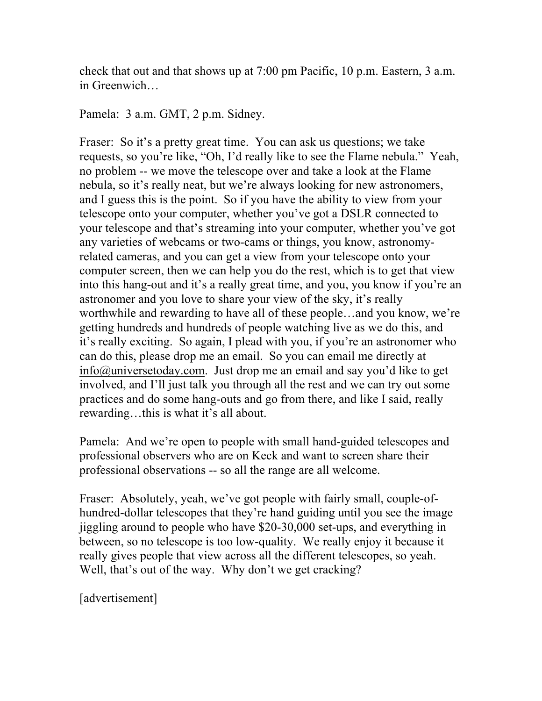check that out and that shows up at 7:00 pm Pacific, 10 p.m. Eastern, 3 a.m. in Greenwich…

Pamela: 3 a.m. GMT, 2 p.m. Sidney.

Fraser: So it's a pretty great time. You can ask us questions; we take requests, so you're like, "Oh, I'd really like to see the Flame nebula." Yeah, no problem -- we move the telescope over and take a look at the Flame nebula, so it's really neat, but we're always looking for new astronomers, and I guess this is the point. So if you have the ability to view from your telescope onto your computer, whether you've got a DSLR connected to your telescope and that's streaming into your computer, whether you've got any varieties of webcams or two-cams or things, you know, astronomyrelated cameras, and you can get a view from your telescope onto your computer screen, then we can help you do the rest, which is to get that view into this hang-out and it's a really great time, and you, you know if you're an astronomer and you love to share your view of the sky, it's really worthwhile and rewarding to have all of these people…and you know, we're getting hundreds and hundreds of people watching live as we do this, and it's really exciting. So again, I plead with you, if you're an astronomer who can do this, please drop me an email. So you can email me directly at info@universetoday.com. Just drop me an email and say you'd like to get involved, and I'll just talk you through all the rest and we can try out some practices and do some hang-outs and go from there, and like I said, really rewarding…this is what it's all about.

Pamela: And we're open to people with small hand-guided telescopes and professional observers who are on Keck and want to screen share their professional observations -- so all the range are all welcome.

Fraser: Absolutely, yeah, we've got people with fairly small, couple-ofhundred-dollar telescopes that they're hand guiding until you see the image jiggling around to people who have \$20-30,000 set-ups, and everything in between, so no telescope is too low-quality. We really enjoy it because it really gives people that view across all the different telescopes, so yeah. Well, that's out of the way. Why don't we get cracking?

[advertisement]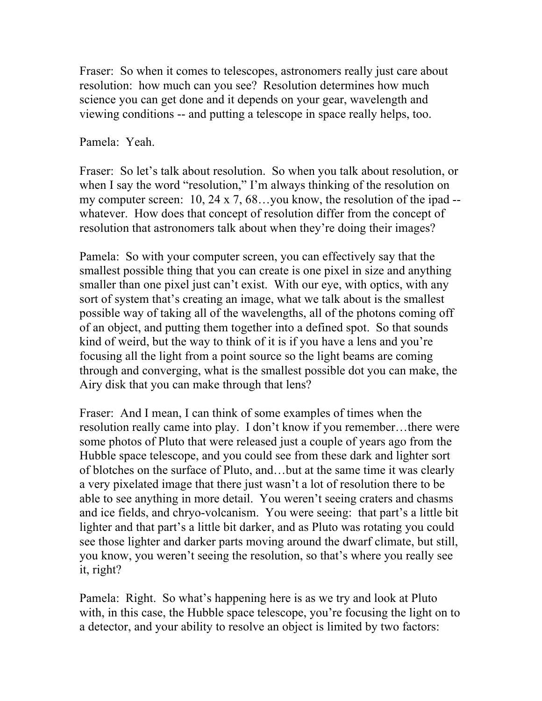Fraser: So when it comes to telescopes, astronomers really just care about resolution: how much can you see? Resolution determines how much science you can get done and it depends on your gear, wavelength and viewing conditions -- and putting a telescope in space really helps, too.

Pamela: Yeah.

Fraser: So let's talk about resolution. So when you talk about resolution, or when I say the word "resolution," I'm always thinking of the resolution on my computer screen: 10, 24 x 7, 68…you know, the resolution of the ipad - whatever. How does that concept of resolution differ from the concept of resolution that astronomers talk about when they're doing their images?

Pamela: So with your computer screen, you can effectively say that the smallest possible thing that you can create is one pixel in size and anything smaller than one pixel just can't exist. With our eye, with optics, with any sort of system that's creating an image, what we talk about is the smallest possible way of taking all of the wavelengths, all of the photons coming off of an object, and putting them together into a defined spot. So that sounds kind of weird, but the way to think of it is if you have a lens and you're focusing all the light from a point source so the light beams are coming through and converging, what is the smallest possible dot you can make, the Airy disk that you can make through that lens?

Fraser: And I mean, I can think of some examples of times when the resolution really came into play. I don't know if you remember…there were some photos of Pluto that were released just a couple of years ago from the Hubble space telescope, and you could see from these dark and lighter sort of blotches on the surface of Pluto, and…but at the same time it was clearly a very pixelated image that there just wasn't a lot of resolution there to be able to see anything in more detail. You weren't seeing craters and chasms and ice fields, and chryo-volcanism. You were seeing: that part's a little bit lighter and that part's a little bit darker, and as Pluto was rotating you could see those lighter and darker parts moving around the dwarf climate, but still, you know, you weren't seeing the resolution, so that's where you really see it, right?

Pamela: Right. So what's happening here is as we try and look at Pluto with, in this case, the Hubble space telescope, you're focusing the light on to a detector, and your ability to resolve an object is limited by two factors: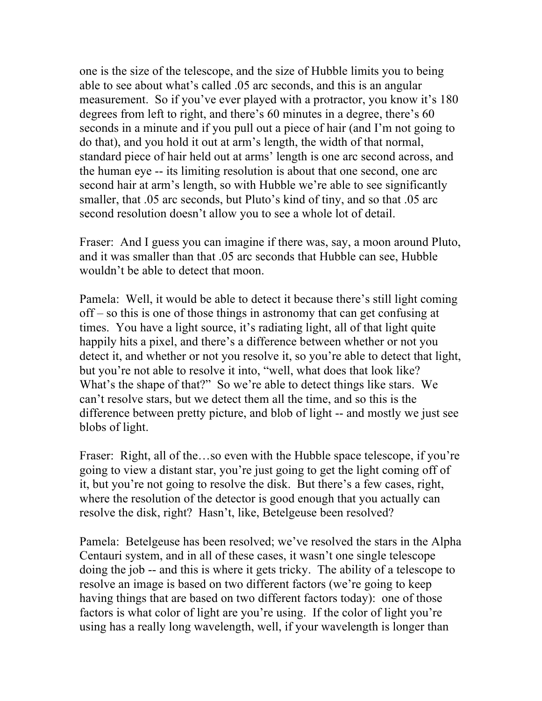one is the size of the telescope, and the size of Hubble limits you to being able to see about what's called .05 arc seconds, and this is an angular measurement. So if you've ever played with a protractor, you know it's 180 degrees from left to right, and there's 60 minutes in a degree, there's 60 seconds in a minute and if you pull out a piece of hair (and I'm not going to do that), and you hold it out at arm's length, the width of that normal, standard piece of hair held out at arms' length is one arc second across, and the human eye -- its limiting resolution is about that one second, one arc second hair at arm's length, so with Hubble we're able to see significantly smaller, that .05 arc seconds, but Pluto's kind of tiny, and so that .05 arc second resolution doesn't allow you to see a whole lot of detail.

Fraser: And I guess you can imagine if there was, say, a moon around Pluto, and it was smaller than that .05 arc seconds that Hubble can see, Hubble wouldn't be able to detect that moon.

Pamela: Well, it would be able to detect it because there's still light coming off – so this is one of those things in astronomy that can get confusing at times. You have a light source, it's radiating light, all of that light quite happily hits a pixel, and there's a difference between whether or not you detect it, and whether or not you resolve it, so you're able to detect that light, but you're not able to resolve it into, "well, what does that look like? What's the shape of that?" So we're able to detect things like stars. We can't resolve stars, but we detect them all the time, and so this is the difference between pretty picture, and blob of light -- and mostly we just see blobs of light.

Fraser: Right, all of the…so even with the Hubble space telescope, if you're going to view a distant star, you're just going to get the light coming off of it, but you're not going to resolve the disk. But there's a few cases, right, where the resolution of the detector is good enough that you actually can resolve the disk, right? Hasn't, like, Betelgeuse been resolved?

Pamela: Betelgeuse has been resolved; we've resolved the stars in the Alpha Centauri system, and in all of these cases, it wasn't one single telescope doing the job -- and this is where it gets tricky. The ability of a telescope to resolve an image is based on two different factors (we're going to keep having things that are based on two different factors today): one of those factors is what color of light are you're using. If the color of light you're using has a really long wavelength, well, if your wavelength is longer than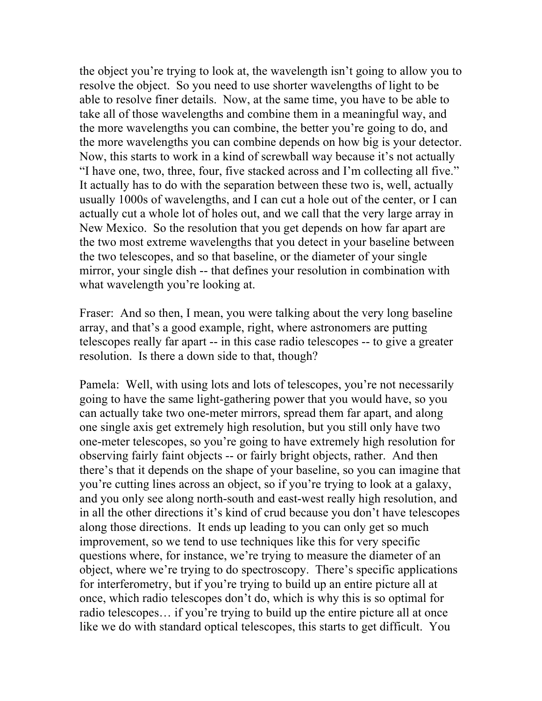the object you're trying to look at, the wavelength isn't going to allow you to resolve the object. So you need to use shorter wavelengths of light to be able to resolve finer details. Now, at the same time, you have to be able to take all of those wavelengths and combine them in a meaningful way, and the more wavelengths you can combine, the better you're going to do, and the more wavelengths you can combine depends on how big is your detector. Now, this starts to work in a kind of screwball way because it's not actually "I have one, two, three, four, five stacked across and I'm collecting all five." It actually has to do with the separation between these two is, well, actually usually 1000s of wavelengths, and I can cut a hole out of the center, or I can actually cut a whole lot of holes out, and we call that the very large array in New Mexico. So the resolution that you get depends on how far apart are the two most extreme wavelengths that you detect in your baseline between the two telescopes, and so that baseline, or the diameter of your single mirror, your single dish -- that defines your resolution in combination with what wavelength you're looking at.

Fraser: And so then, I mean, you were talking about the very long baseline array, and that's a good example, right, where astronomers are putting telescopes really far apart -- in this case radio telescopes -- to give a greater resolution. Is there a down side to that, though?

Pamela: Well, with using lots and lots of telescopes, you're not necessarily going to have the same light-gathering power that you would have, so you can actually take two one-meter mirrors, spread them far apart, and along one single axis get extremely high resolution, but you still only have two one-meter telescopes, so you're going to have extremely high resolution for observing fairly faint objects -- or fairly bright objects, rather. And then there's that it depends on the shape of your baseline, so you can imagine that you're cutting lines across an object, so if you're trying to look at a galaxy, and you only see along north-south and east-west really high resolution, and in all the other directions it's kind of crud because you don't have telescopes along those directions. It ends up leading to you can only get so much improvement, so we tend to use techniques like this for very specific questions where, for instance, we're trying to measure the diameter of an object, where we're trying to do spectroscopy. There's specific applications for interferometry, but if you're trying to build up an entire picture all at once, which radio telescopes don't do, which is why this is so optimal for radio telescopes… if you're trying to build up the entire picture all at once like we do with standard optical telescopes, this starts to get difficult. You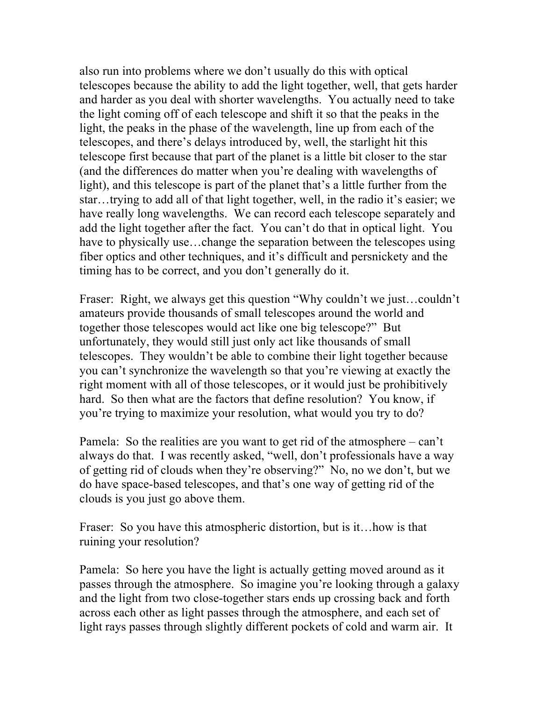also run into problems where we don't usually do this with optical telescopes because the ability to add the light together, well, that gets harder and harder as you deal with shorter wavelengths. You actually need to take the light coming off of each telescope and shift it so that the peaks in the light, the peaks in the phase of the wavelength, line up from each of the telescopes, and there's delays introduced by, well, the starlight hit this telescope first because that part of the planet is a little bit closer to the star (and the differences do matter when you're dealing with wavelengths of light), and this telescope is part of the planet that's a little further from the star…trying to add all of that light together, well, in the radio it's easier; we have really long wavelengths. We can record each telescope separately and add the light together after the fact. You can't do that in optical light. You have to physically use...change the separation between the telescopes using fiber optics and other techniques, and it's difficult and persnickety and the timing has to be correct, and you don't generally do it.

Fraser: Right, we always get this question "Why couldn't we just…couldn't amateurs provide thousands of small telescopes around the world and together those telescopes would act like one big telescope?" But unfortunately, they would still just only act like thousands of small telescopes. They wouldn't be able to combine their light together because you can't synchronize the wavelength so that you're viewing at exactly the right moment with all of those telescopes, or it would just be prohibitively hard. So then what are the factors that define resolution? You know, if you're trying to maximize your resolution, what would you try to do?

Pamela: So the realities are you want to get rid of the atmosphere – can't always do that. I was recently asked, "well, don't professionals have a way of getting rid of clouds when they're observing?" No, no we don't, but we do have space-based telescopes, and that's one way of getting rid of the clouds is you just go above them.

Fraser: So you have this atmospheric distortion, but is it... how is that ruining your resolution?

Pamela: So here you have the light is actually getting moved around as it passes through the atmosphere. So imagine you're looking through a galaxy and the light from two close-together stars ends up crossing back and forth across each other as light passes through the atmosphere, and each set of light rays passes through slightly different pockets of cold and warm air. It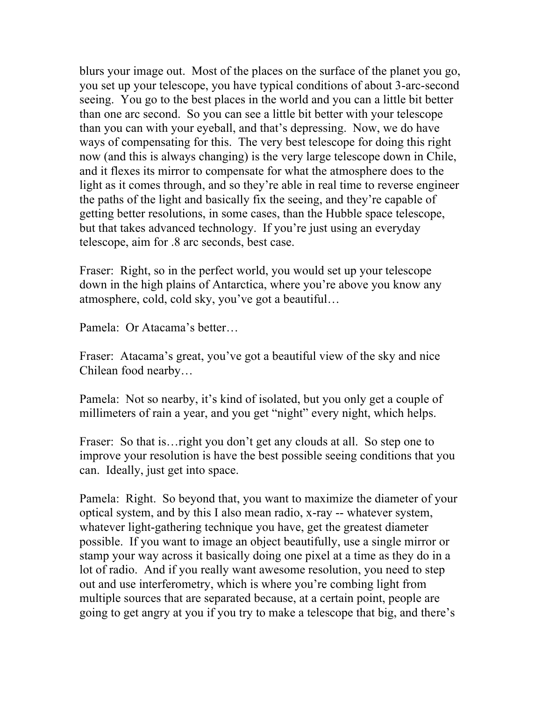blurs your image out. Most of the places on the surface of the planet you go, you set up your telescope, you have typical conditions of about 3-arc-second seeing. You go to the best places in the world and you can a little bit better than one arc second. So you can see a little bit better with your telescope than you can with your eyeball, and that's depressing. Now, we do have ways of compensating for this. The very best telescope for doing this right now (and this is always changing) is the very large telescope down in Chile, and it flexes its mirror to compensate for what the atmosphere does to the light as it comes through, and so they're able in real time to reverse engineer the paths of the light and basically fix the seeing, and they're capable of getting better resolutions, in some cases, than the Hubble space telescope, but that takes advanced technology. If you're just using an everyday telescope, aim for .8 arc seconds, best case.

Fraser: Right, so in the perfect world, you would set up your telescope down in the high plains of Antarctica, where you're above you know any atmosphere, cold, cold sky, you've got a beautiful…

Pamela: Or Atacama's better…

Fraser: Atacama's great, you've got a beautiful view of the sky and nice Chilean food nearby…

Pamela: Not so nearby, it's kind of isolated, but you only get a couple of millimeters of rain a year, and you get "night" every night, which helps.

Fraser: So that is... right you don't get any clouds at all. So step one to improve your resolution is have the best possible seeing conditions that you can. Ideally, just get into space.

Pamela: Right. So beyond that, you want to maximize the diameter of your optical system, and by this I also mean radio, x-ray -- whatever system, whatever light-gathering technique you have, get the greatest diameter possible. If you want to image an object beautifully, use a single mirror or stamp your way across it basically doing one pixel at a time as they do in a lot of radio. And if you really want awesome resolution, you need to step out and use interferometry, which is where you're combing light from multiple sources that are separated because, at a certain point, people are going to get angry at you if you try to make a telescope that big, and there's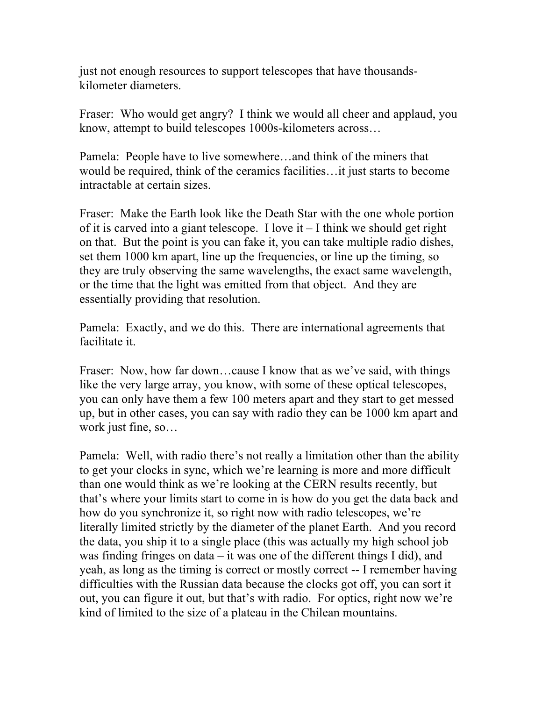just not enough resources to support telescopes that have thousandskilometer diameters.

Fraser: Who would get angry? I think we would all cheer and applaud, you know, attempt to build telescopes 1000s-kilometers across…

Pamela: People have to live somewhere…and think of the miners that would be required, think of the ceramics facilities…it just starts to become intractable at certain sizes.

Fraser: Make the Earth look like the Death Star with the one whole portion of it is carved into a giant telescope. I love it – I think we should get right on that. But the point is you can fake it, you can take multiple radio dishes, set them 1000 km apart, line up the frequencies, or line up the timing, so they are truly observing the same wavelengths, the exact same wavelength, or the time that the light was emitted from that object. And they are essentially providing that resolution.

Pamela: Exactly, and we do this. There are international agreements that facilitate it.

Fraser: Now, how far down...cause I know that as we've said, with things like the very large array, you know, with some of these optical telescopes, you can only have them a few 100 meters apart and they start to get messed up, but in other cases, you can say with radio they can be 1000 km apart and work just fine, so…

Pamela: Well, with radio there's not really a limitation other than the ability to get your clocks in sync, which we're learning is more and more difficult than one would think as we're looking at the CERN results recently, but that's where your limits start to come in is how do you get the data back and how do you synchronize it, so right now with radio telescopes, we're literally limited strictly by the diameter of the planet Earth. And you record the data, you ship it to a single place (this was actually my high school job was finding fringes on data – it was one of the different things I did), and yeah, as long as the timing is correct or mostly correct -- I remember having difficulties with the Russian data because the clocks got off, you can sort it out, you can figure it out, but that's with radio. For optics, right now we're kind of limited to the size of a plateau in the Chilean mountains.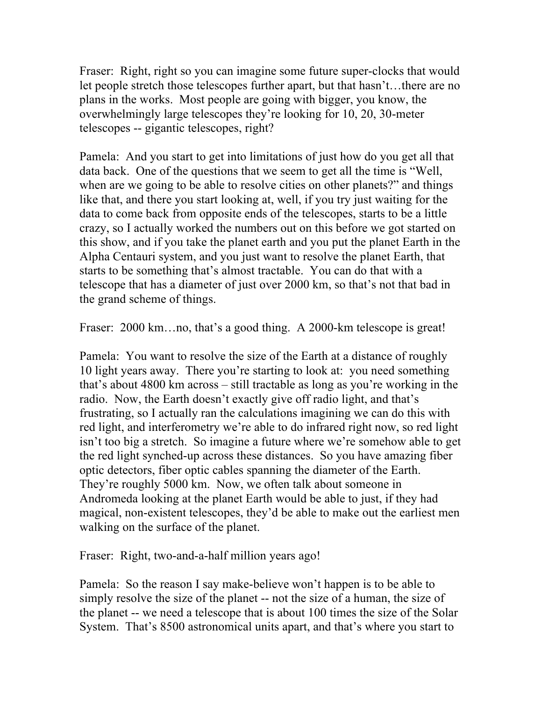Fraser: Right, right so you can imagine some future super-clocks that would let people stretch those telescopes further apart, but that hasn't…there are no plans in the works. Most people are going with bigger, you know, the overwhelmingly large telescopes they're looking for 10, 20, 30-meter telescopes -- gigantic telescopes, right?

Pamela: And you start to get into limitations of just how do you get all that data back. One of the questions that we seem to get all the time is "Well, when are we going to be able to resolve cities on other planets?" and things like that, and there you start looking at, well, if you try just waiting for the data to come back from opposite ends of the telescopes, starts to be a little crazy, so I actually worked the numbers out on this before we got started on this show, and if you take the planet earth and you put the planet Earth in the Alpha Centauri system, and you just want to resolve the planet Earth, that starts to be something that's almost tractable. You can do that with a telescope that has a diameter of just over 2000 km, so that's not that bad in the grand scheme of things.

Fraser: 2000 km...no, that's a good thing. A 2000-km telescope is great!

Pamela: You want to resolve the size of the Earth at a distance of roughly 10 light years away. There you're starting to look at: you need something that's about 4800 km across – still tractable as long as you're working in the radio. Now, the Earth doesn't exactly give off radio light, and that's frustrating, so I actually ran the calculations imagining we can do this with red light, and interferometry we're able to do infrared right now, so red light isn't too big a stretch. So imagine a future where we're somehow able to get the red light synched-up across these distances. So you have amazing fiber optic detectors, fiber optic cables spanning the diameter of the Earth. They're roughly 5000 km. Now, we often talk about someone in Andromeda looking at the planet Earth would be able to just, if they had magical, non-existent telescopes, they'd be able to make out the earliest men walking on the surface of the planet.

Fraser: Right, two-and-a-half million years ago!

Pamela: So the reason I say make-believe won't happen is to be able to simply resolve the size of the planet -- not the size of a human, the size of the planet -- we need a telescope that is about 100 times the size of the Solar System. That's 8500 astronomical units apart, and that's where you start to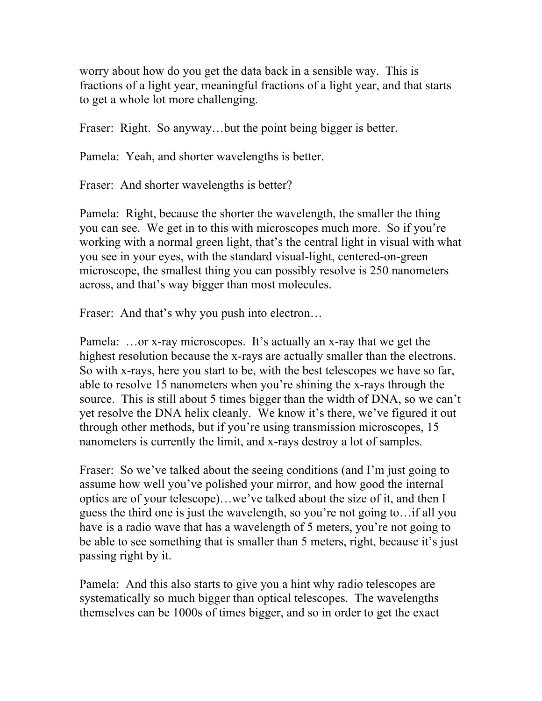worry about how do you get the data back in a sensible way. This is fractions of a light year, meaningful fractions of a light year, and that starts to get a whole lot more challenging.

Fraser: Right. So anyway...but the point being bigger is better.

Pamela: Yeah, and shorter wavelengths is better.

Fraser: And shorter wavelengths is better?

Pamela: Right, because the shorter the wavelength, the smaller the thing you can see. We get in to this with microscopes much more. So if you're working with a normal green light, that's the central light in visual with what you see in your eyes, with the standard visual-light, centered-on-green microscope, the smallest thing you can possibly resolve is 250 nanometers across, and that's way bigger than most molecules.

Fraser: And that's why you push into electron...

Pamela: …or x-ray microscopes. It's actually an x-ray that we get the highest resolution because the x-rays are actually smaller than the electrons. So with x-rays, here you start to be, with the best telescopes we have so far, able to resolve 15 nanometers when you're shining the x-rays through the source. This is still about 5 times bigger than the width of DNA, so we can't yet resolve the DNA helix cleanly. We know it's there, we've figured it out through other methods, but if you're using transmission microscopes, 15 nanometers is currently the limit, and x-rays destroy a lot of samples.

Fraser: So we've talked about the seeing conditions (and I'm just going to assume how well you've polished your mirror, and how good the internal optics are of your telescope)…we've talked about the size of it, and then I guess the third one is just the wavelength, so you're not going to…if all you have is a radio wave that has a wavelength of 5 meters, you're not going to be able to see something that is smaller than 5 meters, right, because it's just passing right by it.

Pamela: And this also starts to give you a hint why radio telescopes are systematically so much bigger than optical telescopes. The wavelengths themselves can be 1000s of times bigger, and so in order to get the exact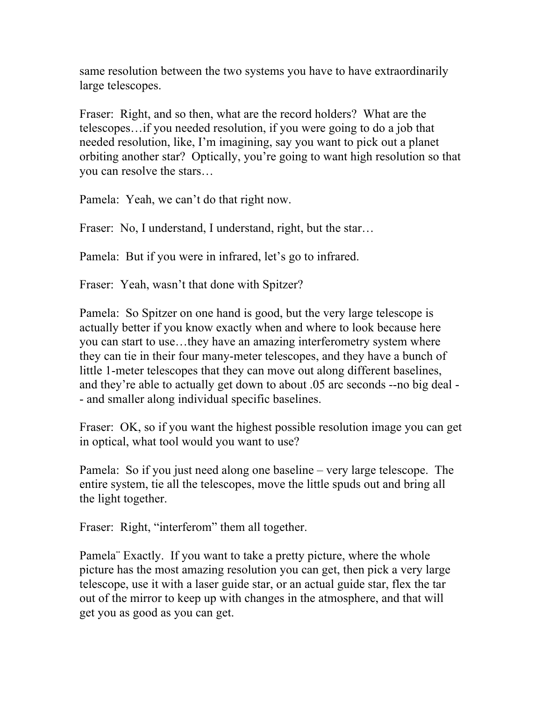same resolution between the two systems you have to have extraordinarily large telescopes.

Fraser: Right, and so then, what are the record holders? What are the telescopes…if you needed resolution, if you were going to do a job that needed resolution, like, I'm imagining, say you want to pick out a planet orbiting another star? Optically, you're going to want high resolution so that you can resolve the stars…

Pamela: Yeah, we can't do that right now.

Fraser: No, I understand, I understand, right, but the star...

Pamela: But if you were in infrared, let's go to infrared.

Fraser: Yeah, wasn't that done with Spitzer?

Pamela: So Spitzer on one hand is good, but the very large telescope is actually better if you know exactly when and where to look because here you can start to use…they have an amazing interferometry system where they can tie in their four many-meter telescopes, and they have a bunch of little 1-meter telescopes that they can move out along different baselines, and they're able to actually get down to about .05 arc seconds --no big deal - - and smaller along individual specific baselines.

Fraser: OK, so if you want the highest possible resolution image you can get in optical, what tool would you want to use?

Pamela: So if you just need along one baseline – very large telescope. The entire system, tie all the telescopes, move the little spuds out and bring all the light together.

Fraser: Right, "interferom" them all together.

Pamela¨ Exactly. If you want to take a pretty picture, where the whole picture has the most amazing resolution you can get, then pick a very large telescope, use it with a laser guide star, or an actual guide star, flex the tar out of the mirror to keep up with changes in the atmosphere, and that will get you as good as you can get.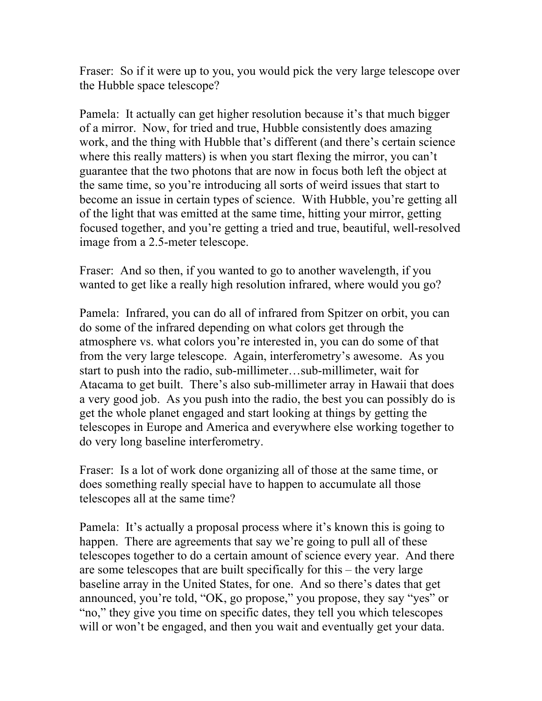Fraser: So if it were up to you, you would pick the very large telescope over the Hubble space telescope?

Pamela: It actually can get higher resolution because it's that much bigger of a mirror. Now, for tried and true, Hubble consistently does amazing work, and the thing with Hubble that's different (and there's certain science where this really matters) is when you start flexing the mirror, you can't guarantee that the two photons that are now in focus both left the object at the same time, so you're introducing all sorts of weird issues that start to become an issue in certain types of science. With Hubble, you're getting all of the light that was emitted at the same time, hitting your mirror, getting focused together, and you're getting a tried and true, beautiful, well-resolved image from a 2.5-meter telescope.

Fraser: And so then, if you wanted to go to another wavelength, if you wanted to get like a really high resolution infrared, where would you go?

Pamela: Infrared, you can do all of infrared from Spitzer on orbit, you can do some of the infrared depending on what colors get through the atmosphere vs. what colors you're interested in, you can do some of that from the very large telescope. Again, interferometry's awesome. As you start to push into the radio, sub-millimeter…sub-millimeter, wait for Atacama to get built. There's also sub-millimeter array in Hawaii that does a very good job. As you push into the radio, the best you can possibly do is get the whole planet engaged and start looking at things by getting the telescopes in Europe and America and everywhere else working together to do very long baseline interferometry.

Fraser: Is a lot of work done organizing all of those at the same time, or does something really special have to happen to accumulate all those telescopes all at the same time?

Pamela: It's actually a proposal process where it's known this is going to happen. There are agreements that say we're going to pull all of these telescopes together to do a certain amount of science every year. And there are some telescopes that are built specifically for this – the very large baseline array in the United States, for one. And so there's dates that get announced, you're told, "OK, go propose," you propose, they say "yes" or "no," they give you time on specific dates, they tell you which telescopes will or won't be engaged, and then you wait and eventually get your data.